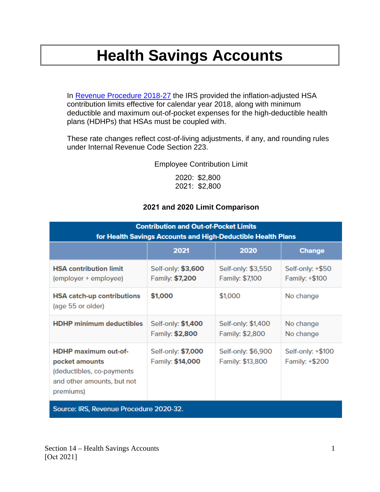## **Health Savings Accounts**

In [Revenue Procedure 2018-27](https://www.irs.gov/pub/irs-drop/rp-18-27.pdf) the IRS provided the inflation-adjusted HSA contribution limits effective for calendar year 2018, along with minimum deductible and maximum out-of-pocket expenses for the high-deductible health plans (HDHPs) that HSAs must be coupled with.

These rate changes reflect cost-of-living adjustments, if any, and rounding rules under Internal Revenue Code Section 223.

Employee Contribution Limit

2020: \$2,800 2021: \$2,800

## **2021 and 2020 Limit Comparison**

| <b>Contribution and Out-of-Pocket Limits</b><br>for Health Savings Accounts and High-Deductible Health Plans          |                                        |                                        |                                     |  |
|-----------------------------------------------------------------------------------------------------------------------|----------------------------------------|----------------------------------------|-------------------------------------|--|
|                                                                                                                       | 2021                                   | 2020                                   | <b>Change</b>                       |  |
| <b>HSA contribution limit</b><br>(employer + employee)                                                                | Self-only: \$3,600<br>Family: \$7,200  | Self-only: \$3,550<br>Family: \$7,100  | Self-only: +\$50<br>Family: +\$100  |  |
| <b>HSA catch-up contributions</b><br>(age 55 or older)                                                                | \$1,000                                | \$1,000                                | No change                           |  |
| <b>HDHP minimum deductibles</b>                                                                                       | Self-only: \$1,400<br>Family: \$2,800  | Self-only: \$1,400<br>Family: \$2,800  | No change<br>No change              |  |
| <b>HDHP</b> maximum out-of-<br>pocket amounts<br>(deductibles, co-payments<br>and other amounts, but not<br>premiums) | Self-only: \$7,000<br>Family: \$14,000 | Self-only: \$6,900<br>Family: \$13,800 | Self-only: +\$100<br>Family: +\$200 |  |
| Source: IDS, Dovenue Procedure 2020, 32                                                                               |                                        |                                        |                                     |  |